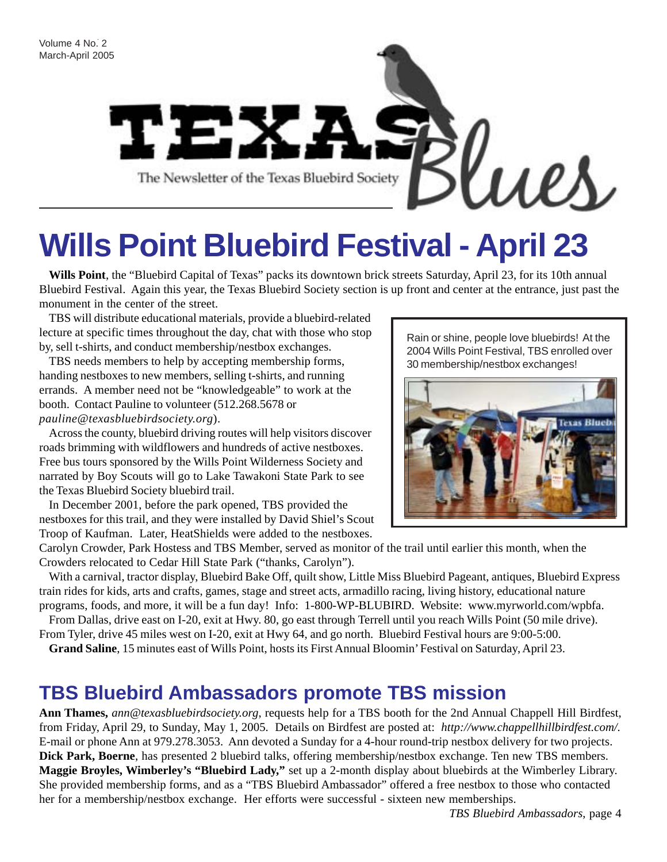

# **Wills Point Bluebird Festival - April 23**

**Wills Point**, the "Bluebird Capital of Texas" packs its downtown brick streets Saturday, April 23, for its 10th annual Bluebird Festival. Again this year, the Texas Bluebird Society section is up front and center at the entrance, just past the monument in the center of the street.

TBS will distribute educational materials, provide a bluebird-related lecture at specific times throughout the day, chat with those who stop by, sell t-shirts, and conduct membership/nestbox exchanges.

TBS needs members to help by accepting membership forms, handing nestboxes to new members, selling t-shirts, and running errands. A member need not be "knowledgeable" to work at the booth. Contact Pauline to volunteer (512.268.5678 or *pauline@texasbluebirdsociety.org*).

Across the county, bluebird driving routes will help visitors discover roads brimming with wildflowers and hundreds of active nestboxes. Free bus tours sponsored by the Wills Point Wilderness Society and narrated by Boy Scouts will go to Lake Tawakoni State Park to see the Texas Bluebird Society bluebird trail.

In December 2001, before the park opened, TBS provided the nestboxes for this trail, and they were installed by David Shiel's Scout Troop of Kaufman. Later, HeatShields were added to the nestboxes.

Rain or shine, people love bluebirds! At the 2004 Wills Point Festival, TBS enrolled over 30 membership/nestbox exchanges!



Carolyn Crowder, Park Hostess and TBS Member, served as monitor of the trail until earlier this month, when the Crowders relocated to Cedar Hill State Park ("thanks, Carolyn").

With a carnival, tractor display, Bluebird Bake Off, quilt show, Little Miss Bluebird Pageant, antiques, Bluebird Express train rides for kids, arts and crafts, games, stage and street acts, armadillo racing, living history, educational nature programs, foods, and more, it will be a fun day! Info: 1-800-WP-BLUBIRD. Website: www.myrworld.com/wpbfa.

From Dallas, drive east on I-20, exit at Hwy. 80, go east through Terrell until you reach Wills Point (50 mile drive). From Tyler, drive 45 miles west on I-20, exit at Hwy 64, and go north. Bluebird Festival hours are 9:00-5:00.

**Grand Saline**, 15 minutes east of Wills Point, hosts its First Annual Bloomin' Festival on Saturday, April 23.

### **TBS Bluebird Ambassadors promote TBS mission**

**Ann Thames,** *ann@texasbluebirdsociety.org*, requests help for a TBS booth for the 2nd Annual Chappell Hill Birdfest, from Friday, April 29, to Sunday, May 1, 2005. Details on Birdfest are posted at: *http://www.chappellhillbirdfest.com/.* E-mail or phone Ann at 979.278.3053. Ann devoted a Sunday for a 4-hour round-trip nestbox delivery for two projects. **Dick Park, Boerne**, has presented 2 bluebird talks, offering membership/nestbox exchange. Ten new TBS members. **Maggie Broyles, Wimberley's "Bluebird Lady,"** set up a 2-month display about bluebirds at the Wimberley Library. She provided membership forms, and as a "TBS Bluebird Ambassador" offered a free nestbox to those who contacted her for a membership/nestbox exchange. Her efforts were successful - sixteen new memberships.

*TBS Bluebird Ambassadors*, page 4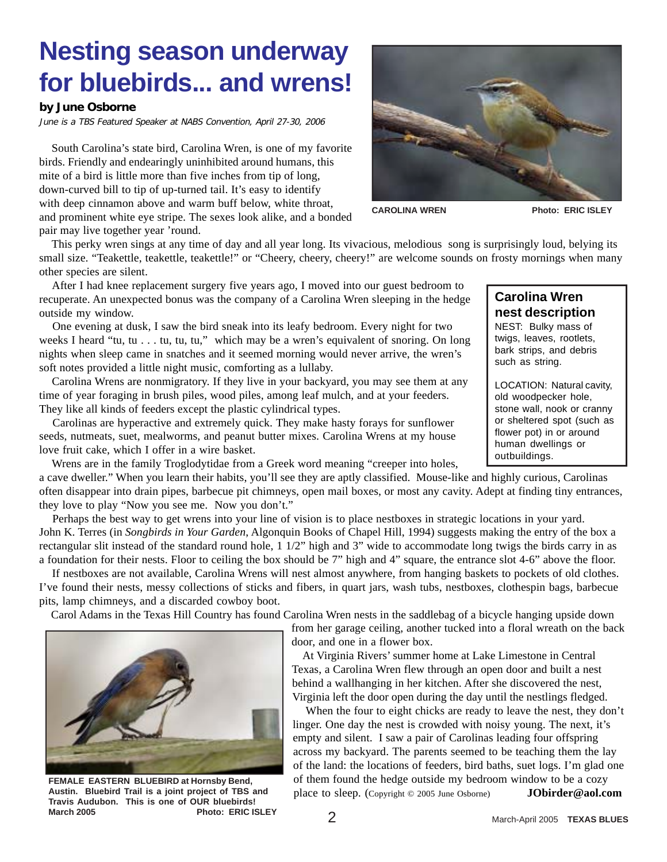## **Nesting season underway for bluebirds... and wrens!**

#### **by June Osborne**

June is a TBS Featured Speaker at NABS Convention, April 27-30, 2006

 South Carolina's state bird, Carolina Wren, is one of my favorite birds. Friendly and endearingly uninhibited around humans, this mite of a bird is little more than five inches from tip of long, down-curved bill to tip of up-turned tail. It's easy to identify with deep cinnamon above and warm buff below, white throat, and prominent white eye stripe. The sexes look alike, and a bonded pair may live together year 'round.



CAROLINA WREN Photo: ERIC ISLEY

**Carolina Wren nest description** NEST: Bulky mass of twigs, leaves, rootlets, bark strips, and debris

such as string.

LOCATION: Natural cavity, old woodpecker hole, stone wall, nook or cranny or sheltered spot (such as flower pot) in or around human dwellings or outbuildings.

 This perky wren sings at any time of day and all year long. Its vivacious, melodious song is surprisingly loud, belying its small size. "Teakettle, teakettle, teakettle!" or "Cheery, cheery, cheery!" are welcome sounds on frosty mornings when many other species are silent.

 After I had knee replacement surgery five years ago, I moved into our guest bedroom to recuperate. An unexpected bonus was the company of a Carolina Wren sleeping in the hedge outside my window.

 One evening at dusk, I saw the bird sneak into its leafy bedroom. Every night for two weeks I heard "tu, tu . . . tu, tu, tu," which may be a wren's equivalent of snoring. On long nights when sleep came in snatches and it seemed morning would never arrive, the wren's soft notes provided a little night music, comforting as a lullaby.

 Carolina Wrens are nonmigratory. If they live in your backyard, you may see them at any time of year foraging in brush piles, wood piles, among leaf mulch, and at your feeders. They like all kinds of feeders except the plastic cylindrical types.

 Carolinas are hyperactive and extremely quick. They make hasty forays for sunflower seeds, nutmeats, suet, mealworms, and peanut butter mixes. Carolina Wrens at my house love fruit cake, which I offer in a wire basket.

Wrens are in the family Troglodytidae from a Greek word meaning "creeper into holes,

a cave dweller." When you learn their habits, you'll see they are aptly classified. Mouse-like and highly curious, Carolinas often disappear into drain pipes, barbecue pit chimneys, open mail boxes, or most any cavity. Adept at finding tiny entrances, they love to play "Now you see me. Now you don't."

 Perhaps the best way to get wrens into your line of vision is to place nestboxes in strategic locations in your yard. John K. Terres (in *Songbirds in Your Garden*, Algonquin Books of Chapel Hill, 1994) suggests making the entry of the box a rectangular slit instead of the standard round hole, 1 1/2" high and 3" wide to accommodate long twigs the birds carry in as a foundation for their nests. Floor to ceiling the box should be 7" high and 4" square, the entrance slot 4-6" above the floor.

 If nestboxes are not available, Carolina Wrens will nest almost anywhere, from hanging baskets to pockets of old clothes. I've found their nests, messy collections of sticks and fibers, in quart jars, wash tubs, nestboxes, clothespin bags, barbecue pits, lamp chimneys, and a discarded cowboy boot.

Carol Adams in the Texas Hill Country has found Carolina Wren nests in the saddlebag of a bicycle hanging upside down



**FEMALE EASTERN BLUEBIRD at Hornsby Bend, Austin. Bluebird Trail is a joint project of TBS and Travis Audubon. This is one of OUR bluebirds!** March 2005 **Photo: ERIC ISLEY** 

door, and one in a flower box.

 At Virginia Rivers' summer home at Lake Limestone in Central Texas, a Carolina Wren flew through an open door and built a nest behind a wallhanging in her kitchen. After she discovered the nest, Virginia left the door open during the day until the nestlings fledged.

 When the four to eight chicks are ready to leave the nest, they don't linger. One day the nest is crowded with noisy young. The next, it's empty and silent. I saw a pair of Carolinas leading four offspring across my backyard. The parents seemed to be teaching them the lay of the land: the locations of feeders, bird baths, suet logs. I'm glad one of them found the hedge outside my bedroom window to be a cozy place to sleep. (Copyright © 2005 June Osborne) **JObirder@aol.com**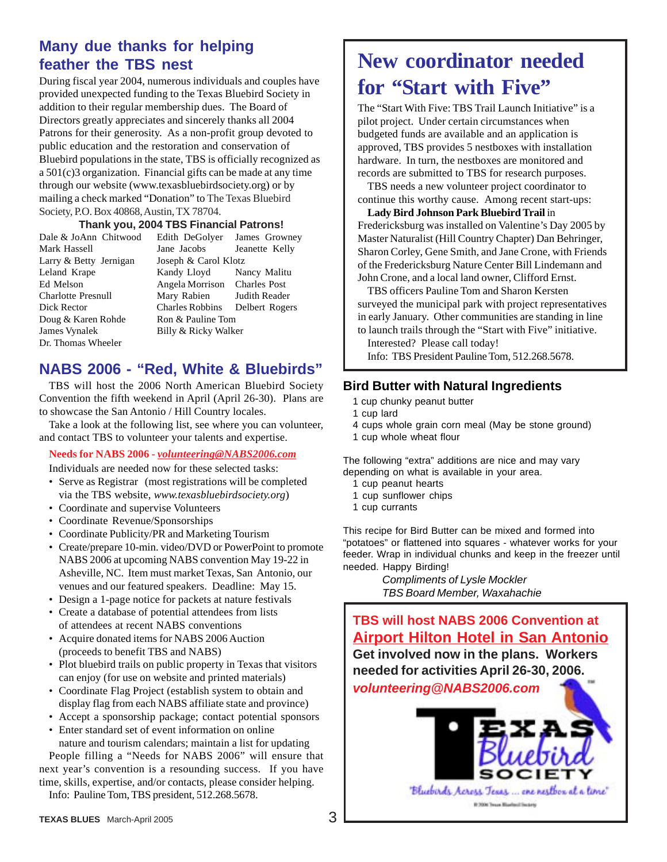### **Many due thanks for helping feather the TBS nest**

During fiscal year 2004, numerous individuals and couples have provided unexpected funding to the Texas Bluebird Society in addition to their regular membership dues. The Board of Directors greatly appreciates and sincerely thanks all 2004 Patrons for their generosity. As a non-profit group devoted to public education and the restoration and conservation of Bluebird populations in the state, TBS is officially recognized as a 501(c)3 organization. Financial gifts can be made at any time through our website (www.texasbluebirdsociety.org) or by mailing a check marked "Donation" to The Texas Bluebird Society, P.O. Box 40868, Austin, TX 78704.

#### **Thank you, 2004 TBS Financial Patrons!**

Larry & Betty Jernigan Joseph & Carol Klotz Doug & Karen Rohde Ron & Pauline Tom James Vynalek Billy & Ricky Walker Dr. Thomas Wheeler

Dale & JoAnn Chitwood Edith DeGolyer James Growney Mark Hassell Jane Jacobs Jeanette Kelly Leland Krape Kandy Lloyd Nancy Malitu Ed Melson Angela Morrison Charles Post Charlotte Presnull Mary Rabien Judith Reader Dick Rector Charles Robbins Delbert Rogers

### **NABS 2006 - "Red, White & Bluebirds"**

TBS will host the 2006 North American Bluebird Society Convention the fifth weekend in April (April 26-30). Plans are to showcase the San Antonio / Hill Country locales.

Take a look at the following list, see where you can volunteer, and contact TBS to volunteer your talents and expertise.

#### **Needs for NABS 2006 -** *volunteering@NABS2006.com*

Individuals are needed now for these selected tasks:

- Serve as Registrar (most registrations will be completed via the TBS website, *www.texasbluebirdsociety.org*)
- Coordinate and supervise Volunteers
- Coordinate Revenue/Sponsorships
- Coordinate Publicity/PR and Marketing Tourism
- Create/prepare 10-min. video/DVD or PowerPoint to promote NABS 2006 at upcoming NABS convention May 19-22 in Asheville, NC. Item must market Texas, San Antonio, our venues and our featured speakers. Deadline: May 15.
- Design a 1-page notice for packets at nature festivals
- Create a database of potential attendees from lists of attendees at recent NABS conventions
- Acquire donated items for NABS 2006 Auction (proceeds to benefit TBS and NABS)
- Plot bluebird trails on public property in Texas that visitors can enjoy (for use on website and printed materials)
- Coordinate Flag Project (establish system to obtain and display flag from each NABS affiliate state and province)
- Accept a sponsorship package; contact potential sponsors
- Enter standard set of event information on online nature and tourism calendars; maintain a list for updating

People filling a "Needs for NABS 2006" will ensure that next year's convention is a resounding success. If you have time, skills, expertise, and/or contacts, please consider helping. Info: Pauline Tom, TBS president, 512.268.5678.

### **New coordinator needed for "Start with Five"**

The "Start With Five: TBS Trail Launch Initiative" is a pilot project. Under certain circumstances when budgeted funds are available and an application is approved, TBS provides 5 nestboxes with installation hardware. In turn, the nestboxes are monitored and records are submitted to TBS for research purposes.

TBS needs a new volunteer project coordinator to continue this worthy cause. Among recent start-ups:

**Lady Bird Johnson Park Bluebird Trail** in Fredericksburg was installed on Valentine's Day 2005 by Master Naturalist (Hill Country Chapter) Dan Behringer, Sharon Corley, Gene Smith, and Jane Crone, with Friends of the Fredericksburg Nature Center Bill Lindemann and John Crone, and a local land owner, Clifford Ernst.

TBS officers Pauline Tom and Sharon Kersten surveyed the municipal park with project representatives in early January. Other communities are standing in line to launch trails through the "Start with Five" initiative.

Interested? Please call today!

Info: TBS President Pauline Tom, 512.268.5678.

### **Bird Butter with Natural Ingredients**

- 1 cup chunky peanut butter
- 1 cup lard
- 4 cups whole grain corn meal (May be stone ground)
- 1 cup whole wheat flour

The following "extra" additions are nice and may vary depending on what is available in your area.

- 1 cup peanut hearts
- 1 cup sunflower chips
- 1 cup currants

This recipe for Bird Butter can be mixed and formed into "potatoes" or flattened into squares - whatever works for your feeder. Wrap in individual chunks and keep in the freezer until needed. Happy Birding!

> Compliments of Lysle Mockler TBS Board Member, Waxahachie

**TBS will host NABS 2006 Convention at Airport Hilton Hotel in San Antonio Get involved now in the plans. Workers needed for activities April 26-30, 2006. volunteering@NABS2006.com**

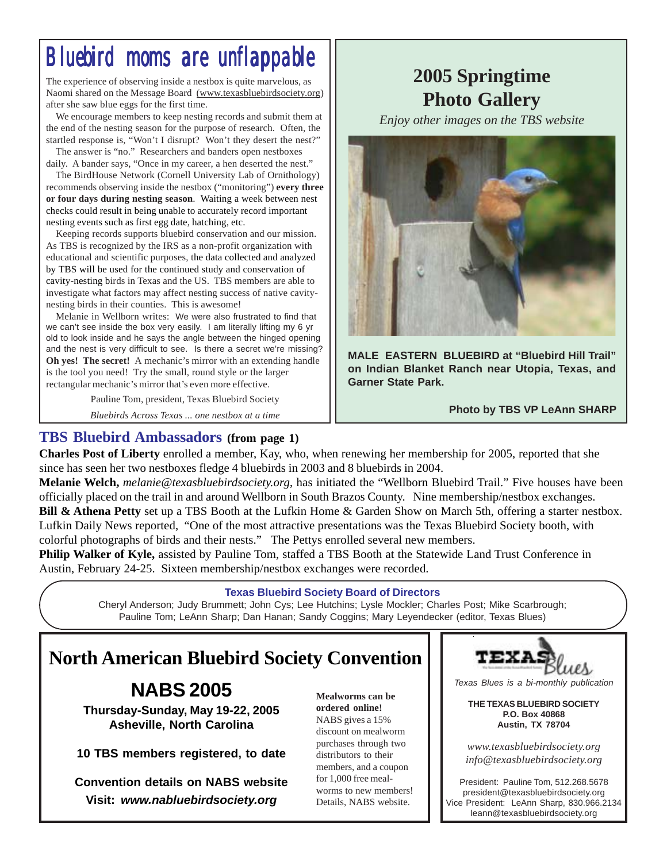## *Bluebird moms are unflappable Bluebird moms are unflappable Bluebird moms are unflappable*

The experience of observing inside a nestbox is quite marvelous, as Naomi shared on the Message Board (www.texasbluebirdsociety.org) after she saw blue eggs for the first time.

We encourage members to keep nesting records and submit them at the end of the nesting season for the purpose of research. Often, the startled response is, "Won't I disrupt? Won't they desert the nest?"

The answer is "no." Researchers and banders open nestboxes daily. A bander says, "Once in my career, a hen deserted the nest."

The BirdHouse Network (Cornell University Lab of Ornithology) recommends observing inside the nestbox ("monitoring") **every three or four days during nesting season**. Waiting a week between nest checks could result in being unable to accurately record important nesting events such as first egg date, hatching, etc.

Keeping records supports bluebird conservation and our mission. As TBS is recognized by the IRS as a non-profit organization with educational and scientific purposes, the data collected and analyzed by TBS will be used for the continued study and conservation of cavity-nesting birds in Texas and the US. TBS members are able to investigate what factors may affect nesting success of native cavitynesting birds in their counties. This is awesome!

Melanie in Wellborn writes: We were also frustrated to find that we can't see inside the box very easily. I am literally lifting my 6 yr old to look inside and he says the angle between the hinged opening and the nest is very difficult to see. Is there a secret we're missing? **Oh yes! The secret!** A mechanic's mirror with an extending handle is the tool you need! Try the small, round style or the larger rectangular mechanic's mirror that's even more effective.

Pauline Tom, president, Texas Bluebird Society

*Bluebirds Across Texas ... one nestbox at a time*

### **2005 Springtime Photo Gallery**

*Enjoy other images on the TBS website*



**MALE EASTERN BLUEBIRD at "Bluebird Hill Trail" on Indian Blanket Ranch near Utopia, Texas, and Garner State Park.**

 **Photo by TBS VP LeAnn SHARP**

### **TBS Bluebird Ambassadors (from page 1)**

**Charles Post of Liberty** enrolled a member, Kay, who, when renewing her membership for 2005, reported that she since has seen her two nestboxes fledge 4 bluebirds in 2003 and 8 bluebirds in 2004.

**Melanie Welch,** *melanie@texasbluebirdsociety.org*, has initiated the "Wellborn Bluebird Trail." Five houses have been officially placed on the trail in and around Wellborn in South Brazos County. Nine membership/nestbox exchanges.

**Bill & Athena Petty** set up a TBS Booth at the Lufkin Home & Garden Show on March 5th, offering a starter nestbox. Lufkin Daily News reported, "One of the most attractive presentations was the Texas Bluebird Society booth, with colorful photographs of birds and their nests." The Pettys enrolled several new members.

**Philip Walker of Kyle,** assisted by Pauline Tom, staffed a TBS Booth at the Statewide Land Trust Conference in Austin, February 24-25. Sixteen membership/nestbox exchanges were recorded.

### **Texas Bluebird Society Board of Directors**

Cheryl Anderson; Judy Brummett; John Cys; Lee Hutchins; Lysle Mockler; Charles Post; Mike Scarbrough; Pauline Tom; LeAnn Sharp; Dan Hanan; Sandy Coggins; Mary Leyendecker (editor, Texas Blues)

### **North American Bluebird Society Convention**

### **NABS 2005**

**Thursday-Sunday, May 19-22, 2005 Asheville, North Carolina**

**10 TBS members registered, to date**

**Convention details on NABS website Visit: www.nabluebirdsociety.org**

**Mealworms can be ordered online!** NABS gives a 15% discount on mealworm purchases through two distributors to their members, and a coupon for 1,000 free mealworms to new members! Details, NABS website.



Texas Blues is a bi-monthly publication

**THE TEXAS BLUEBIRD SOCIETY P.O. Box 40868 Austin, TX 78704**

*www.texasbluebirdsociety.org info@texasbluebirdsociety.org*

President: Pauline Tom, 512.268.5678 president@texasbluebirdsociety.org Vice President: LeAnn Sharp, 830.966.2134 leann@texasbluebirdsociety.org